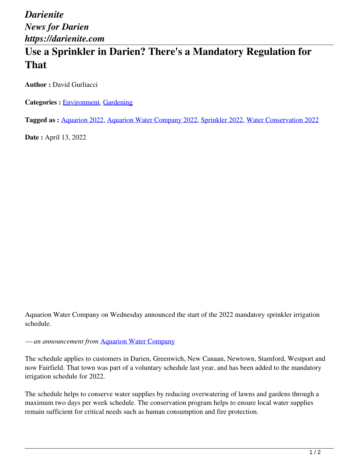## **Use a Sprinkler in Darien? There's a Mandatory Regulation for That**

**Author :** David Gurliacci

**Categories : [Environment,](https://darienite.com/category/environment) Gardening** 

**Tagged as :** Aquarion 2022, Aquarion Water Company 2022, Sprinkler 2022, Water Conservation 2022

**Date :** April 13, 2022

Aquarion Water Company on Wednesday announced the start of the 2022 mandatory sprinkler irrigation schedule.

*— an announcement from* Aquarion Water Company

The schedule applies to customers in Darien, Greenwich, New Canaan, Newtown, Stamford, Westport and now Fairfield. That town was part of a voluntary schedule last year, and has been added to the mandatory irrigation schedule for 2022.

The schedule helps to conserve water supplies by reducing overwatering of lawns and gardens through a maximum two days per week schedule. The conservation program helps to ensure local water supplies remain sufficient for critical needs such as human consumption and fire protection.